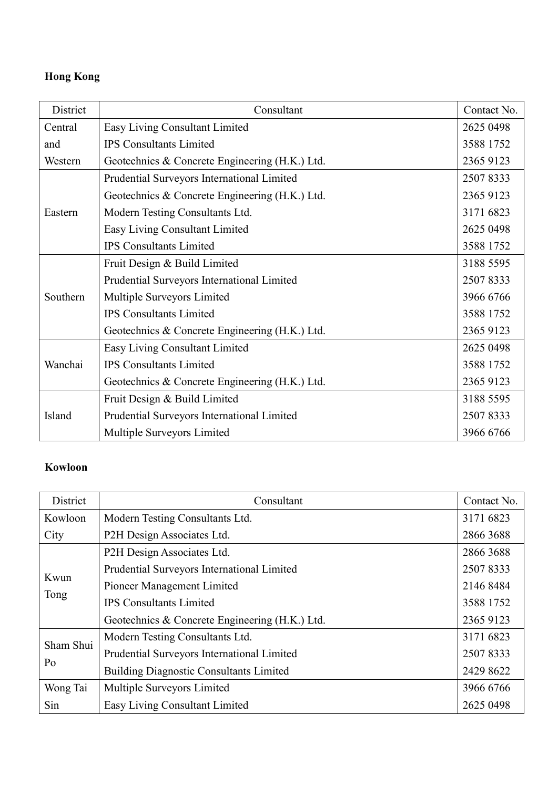## **Hong Kong**

| District | Consultant                                     | Contact No. |
|----------|------------------------------------------------|-------------|
| Central  | Easy Living Consultant Limited                 | 2625 0498   |
| and      | <b>IPS</b> Consultants Limited                 | 3588 1752   |
| Western  | Geotechnics & Concrete Engineering (H.K.) Ltd. | 2365 9123   |
| Eastern  | Prudential Surveyors International Limited     | 25078333    |
|          | Geotechnics & Concrete Engineering (H.K.) Ltd. | 2365 9123   |
|          | Modern Testing Consultants Ltd.                | 3171 6823   |
|          | Easy Living Consultant Limited                 | 2625 0498   |
|          | <b>IPS Consultants Limited</b>                 | 3588 1752   |
| Southern | Fruit Design & Build Limited                   | 3188 5595   |
|          | Prudential Surveyors International Limited     | 25078333    |
|          | Multiple Surveyors Limited                     | 3966 6766   |
|          | <b>IPS Consultants Limited</b>                 | 3588 1752   |
|          | Geotechnics & Concrete Engineering (H.K.) Ltd. | 2365 9123   |
| Wanchai  | Easy Living Consultant Limited                 | 2625 0498   |
|          | <b>IPS Consultants Limited</b>                 | 3588 1752   |
|          | Geotechnics & Concrete Engineering (H.K.) Ltd. | 2365 9123   |
| Island   | Fruit Design & Build Limited                   | 3188 5595   |
|          | Prudential Surveyors International Limited     | 25078333    |
|          | Multiple Surveyors Limited                     | 3966 6766   |

## **Kowloon**

| District        | Consultant                                     | Contact No. |
|-----------------|------------------------------------------------|-------------|
| Kowloon         | Modern Testing Consultants Ltd.                | 3171 6823   |
| City            | P2H Design Associates Ltd.                     | 2866 3688   |
| Kwun<br>Tong    | P2H Design Associates Ltd.                     | 2866 3688   |
|                 | Prudential Surveyors International Limited     | 25078333    |
|                 | Pioneer Management Limited                     | 2146 8484   |
|                 | <b>IPS</b> Consultants Limited                 | 3588 1752   |
|                 | Geotechnics & Concrete Engineering (H.K.) Ltd. | 2365 9123   |
| Sham Shui<br>Po | Modern Testing Consultants Ltd.                | 3171 6823   |
|                 | Prudential Surveyors International Limited     | 25078333    |
|                 | <b>Building Diagnostic Consultants Limited</b> | 2429 8622   |
| Wong Tai        | Multiple Surveyors Limited                     | 3966 6766   |
| Sin             | Easy Living Consultant Limited                 | 2625 0498   |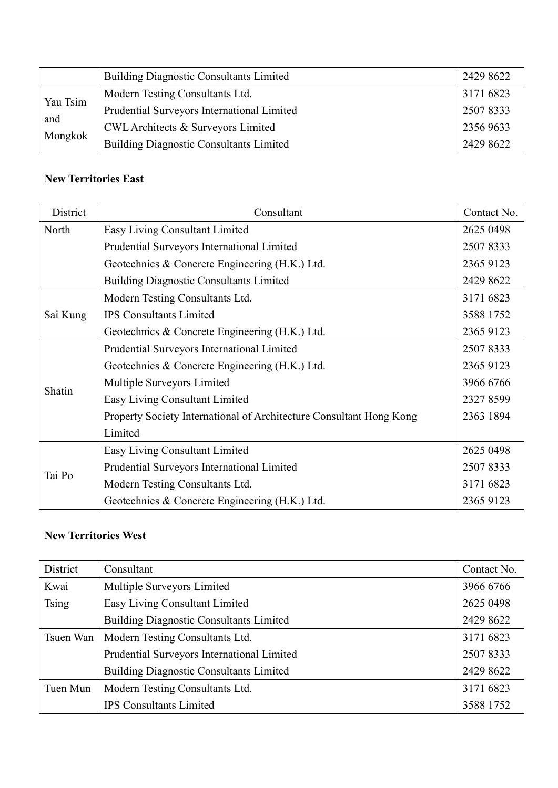|          | <b>Building Diagnostic Consultants Limited</b> | 2429 8622 |
|----------|------------------------------------------------|-----------|
| Yau Tsim | Modern Testing Consultants Ltd.                | 3171 6823 |
|          | Prudential Surveyors International Limited     | 25078333  |
| and      | CWL Architects & Surveyors Limited             | 2356 9633 |
| Mongkok  | <b>Building Diagnostic Consultants Limited</b> | 2429 8622 |

## **New Territories East**

| District | Consultant                                                          | Contact No. |
|----------|---------------------------------------------------------------------|-------------|
| North    | Easy Living Consultant Limited                                      | 2625 0498   |
|          | Prudential Surveyors International Limited                          | 25078333    |
|          | Geotechnics & Concrete Engineering (H.K.) Ltd.                      | 2365 9123   |
|          | <b>Building Diagnostic Consultants Limited</b>                      | 2429 8622   |
| Sai Kung | Modern Testing Consultants Ltd.                                     | 3171 6823   |
|          | <b>IPS</b> Consultants Limited                                      | 3588 1752   |
|          | Geotechnics & Concrete Engineering (H.K.) Ltd.                      | 2365 9123   |
|          | Prudential Surveyors International Limited                          | 25078333    |
|          | Geotechnics & Concrete Engineering (H.K.) Ltd.                      | 2365 9123   |
|          | Multiple Surveyors Limited                                          | 3966 6766   |
| Shatin   | Easy Living Consultant Limited                                      | 2327 8599   |
|          | Property Society International of Architecture Consultant Hong Kong | 2363 1894   |
|          | Limited                                                             |             |
| Tai Po   | Easy Living Consultant Limited                                      | 2625 0498   |
|          | Prudential Surveyors International Limited                          | 25078333    |
|          | Modern Testing Consultants Ltd.                                     | 3171 6823   |
|          | Geotechnics & Concrete Engineering (H.K.) Ltd.                      | 2365 9123   |

## **New Territories West**

| District     | Consultant                                     | Contact No. |
|--------------|------------------------------------------------|-------------|
| Kwai         | Multiple Surveyors Limited                     | 3966 6766   |
| <b>Tsing</b> | Easy Living Consultant Limited                 | 2625 0498   |
|              | <b>Building Diagnostic Consultants Limited</b> | 2429 8622   |
| Tsuen Wan    | Modern Testing Consultants Ltd.                | 3171 6823   |
|              | Prudential Surveyors International Limited     | 25078333    |
|              | <b>Building Diagnostic Consultants Limited</b> | 2429 8622   |
| Tuen Mun     | Modern Testing Consultants Ltd.                | 3171 6823   |
|              | <b>IPS Consultants Limited</b>                 | 3588 1752   |